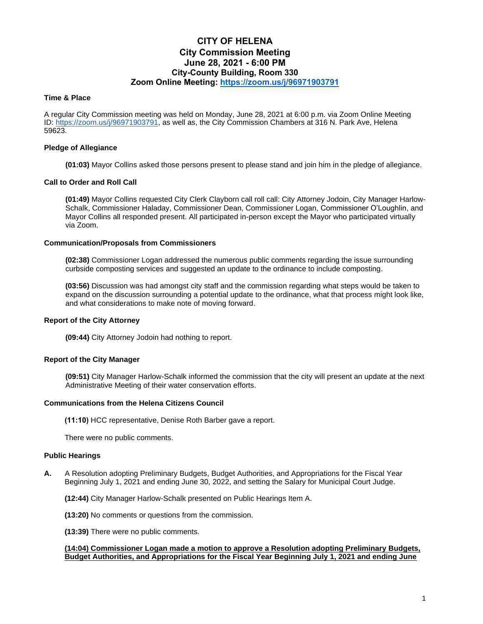# **CITY OF HELENA City Commission Meeting June 28, 2021 - 6:00 PM City-County Building, Room 330 Zoom Online Meeting:<https://zoom.us/j/96971903791>**

# **Time & Place**

A regular City Commission meeting was held on Monday, June 28, 2021 at 6:00 p.m. via Zoom Online Meeting ID: [https://zoom.us/j/96971903791,](https://zoom.us/j/96971903791) as well as, the City Commission Chambers at 316 N. Park Ave, Helena 59623.

# **Pledge of Allegiance**

**(01:03)** Mayor Collins asked those persons present to please stand and join him in the pledge of allegiance.

# **Call to Order and Roll Call**

**(01:49)** Mayor Collins requested City Clerk Clayborn call roll call: City Attorney Jodoin, City Manager Harlow-Schalk, Commissioner Haladay, Commissioner Dean, Commissioner Logan, Commissioner O'Loughlin, and Mayor Collins all responded present. All participated in-person except the Mayor who participated virtually via Zoom.

# **Communication/Proposals from Commissioners**

**(02:38)** Commissioner Logan addressed the numerous public comments regarding the issue surrounding curbside composting services and suggested an update to the ordinance to include composting.

**(03:56)** Discussion was had amongst city staff and the commission regarding what steps would be taken to expand on the discussion surrounding a potential update to the ordinance, what that process might look like, and what considerations to make note of moving forward.

# **Report of the City Attorney**

**(09:44)** City Attorney Jodoin had nothing to report.

# **Report of the City Manager**

**(09:51)** City Manager Harlow-Schalk informed the commission that the city will present an update at the next Administrative Meeting of their water conservation efforts.

# **Communications from the Helena Citizens Council**

**(11:10)** HCC representative, Denise Roth Barber gave a report.

There were no public comments.

# **Public Hearings**

**A.** A Resolution adopting Preliminary Budgets, Budget Authorities, and Appropriations for the Fiscal Year Beginning July 1, 2021 and ending June 30, 2022, and setting the Salary for Municipal Court Judge.

**(12:44)** City Manager Harlow-Schalk presented on Public Hearings Item A.

**(13:20)** No comments or questions from the commission.

**(13:39)** There were no public comments.

# **(14:04) Commissioner Logan made a motion to approve a Resolution adopting Preliminary Budgets, Budget Authorities, and Appropriations for the Fiscal Year Beginning July 1, 2021 and ending June**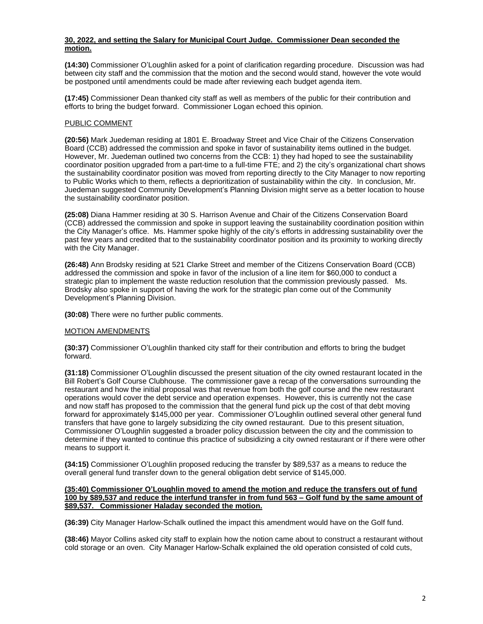# **30, 2022, and setting the Salary for Municipal Court Judge. Commissioner Dean seconded the motion.**

**(14:30)** Commissioner O'Loughlin asked for a point of clarification regarding procedure. Discussion was had between city staff and the commission that the motion and the second would stand, however the vote would be postponed until amendments could be made after reviewing each budget agenda item.

**(17:45)** Commissioner Dean thanked city staff as well as members of the public for their contribution and efforts to bring the budget forward. Commissioner Logan echoed this opinion.

# PUBLIC COMMENT

**(20:56)** Mark Juedeman residing at 1801 E. Broadway Street and Vice Chair of the Citizens Conservation Board (CCB) addressed the commission and spoke in favor of sustainability items outlined in the budget. However, Mr. Juedeman outlined two concerns from the CCB: 1) they had hoped to see the sustainability coordinator position upgraded from a part-time to a full-time FTE; and 2) the city's organizational chart shows the sustainability coordinator position was moved from reporting directly to the City Manager to now reporting to Public Works which to them, reflects a deprioritization of sustainability within the city. In conclusion, Mr. Juedeman suggested Community Development's Planning Division might serve as a better location to house the sustainability coordinator position.

**(25:08)** Diana Hammer residing at 30 S. Harrison Avenue and Chair of the Citizens Conservation Board (CCB) addressed the commission and spoke in support leaving the sustainability coordination position within the City Manager's office. Ms. Hammer spoke highly of the city's efforts in addressing sustainability over the past few years and credited that to the sustainability coordinator position and its proximity to working directly with the City Manager.

**(26:48)** Ann Brodsky residing at 521 Clarke Street and member of the Citizens Conservation Board (CCB) addressed the commission and spoke in favor of the inclusion of a line item for \$60,000 to conduct a strategic plan to implement the waste reduction resolution that the commission previously passed. Ms. Brodsky also spoke in support of having the work for the strategic plan come out of the Community Development's Planning Division.

**(30:08)** There were no further public comments.

# **MOTION AMENDMENTS**

**(30:37)** Commissioner O'Loughlin thanked city staff for their contribution and efforts to bring the budget forward.

**(31:18)** Commissioner O'Loughlin discussed the present situation of the city owned restaurant located in the Bill Robert's Golf Course Clubhouse. The commissioner gave a recap of the conversations surrounding the restaurant and how the initial proposal was that revenue from both the golf course and the new restaurant operations would cover the debt service and operation expenses. However, this is currently not the case and now staff has proposed to the commission that the general fund pick up the cost of that debt moving forward for approximately \$145,000 per year. Commissioner O'Loughlin outlined several other general fund transfers that have gone to largely subsidizing the city owned restaurant. Due to this present situation, Commissioner O'Loughlin suggested a broader policy discussion between the city and the commission to determine if they wanted to continue this practice of subsidizing a city owned restaurant or if there were other means to support it.

**(34:15)** Commissioner O'Loughlin proposed reducing the transfer by \$89,537 as a means to reduce the overall general fund transfer down to the general obligation debt service of \$145,000.

# **(35:40) Commissioner O'Loughlin moved to amend the motion and reduce the transfers out of fund 100 by \$89,537 and reduce the interfund transfer in from fund 563 – Golf fund by the same amount of \$89,537. Commissioner Haladay seconded the motion.**

**(36:39)** City Manager Harlow-Schalk outlined the impact this amendment would have on the Golf fund.

**(38:46)** Mayor Collins asked city staff to explain how the notion came about to construct a restaurant without cold storage or an oven. City Manager Harlow-Schalk explained the old operation consisted of cold cuts,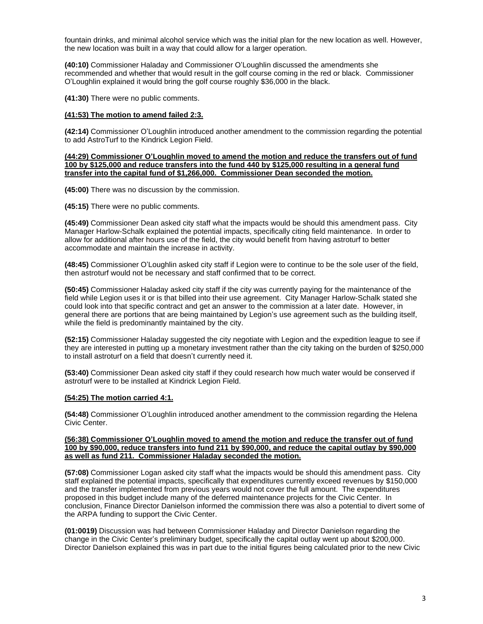fountain drinks, and minimal alcohol service which was the initial plan for the new location as well. However, the new location was built in a way that could allow for a larger operation.

**(40:10)** Commissioner Haladay and Commissioner O'Loughlin discussed the amendments she recommended and whether that would result in the golf course coming in the red or black. Commissioner O'Loughlin explained it would bring the golf course roughly \$36,000 in the black.

**(41:30)** There were no public comments.

# **(41:53) The motion to amend failed 2:3.**

**(42:14)** Commissioner O'Loughlin introduced another amendment to the commission regarding the potential to add AstroTurf to the Kindrick Legion Field.

#### **(44:29) Commissioner O'Loughlin moved to amend the motion and reduce the transfers out of fund 100 by \$125,000 and reduce transfers into the fund 440 by \$125,000 resulting in a general fund transfer into the capital fund of \$1,266,000. Commissioner Dean seconded the motion.**

**(45:00)** There was no discussion by the commission.

**(45:15)** There were no public comments.

**(45:49)** Commissioner Dean asked city staff what the impacts would be should this amendment pass. City Manager Harlow-Schalk explained the potential impacts, specifically citing field maintenance. In order to allow for additional after hours use of the field, the city would benefit from having astroturf to better accommodate and maintain the increase in activity.

**(48:45)** Commissioner O'Loughlin asked city staff if Legion were to continue to be the sole user of the field, then astroturf would not be necessary and staff confirmed that to be correct.

**(50:45)** Commissioner Haladay asked city staff if the city was currently paying for the maintenance of the field while Legion uses it or is that billed into their use agreement. City Manager Harlow-Schalk stated she could look into that specific contract and get an answer to the commission at a later date. However, in general there are portions that are being maintained by Legion's use agreement such as the building itself, while the field is predominantly maintained by the city.

**(52:15)** Commissioner Haladay suggested the city negotiate with Legion and the expedition league to see if they are interested in putting up a monetary investment rather than the city taking on the burden of \$250,000 to install astroturf on a field that doesn't currently need it.

**(53:40)** Commissioner Dean asked city staff if they could research how much water would be conserved if astroturf were to be installed at Kindrick Legion Field.

# **(54:25) The motion carried 4:1.**

**(54:48)** Commissioner O'Loughlin introduced another amendment to the commission regarding the Helena Civic Center.

#### **(56:38) Commissioner O'Loughlin moved to amend the motion and reduce the transfer out of fund 100 by \$90,000, reduce transfers into fund 211 by \$90,000, and reduce the capital outlay by \$90,000 as well as fund 211. Commissioner Haladay seconded the motion.**

**(57:08)** Commissioner Logan asked city staff what the impacts would be should this amendment pass. City staff explained the potential impacts, specifically that expenditures currently exceed revenues by \$150,000 and the transfer implemented from previous years would not cover the full amount. The expenditures proposed in this budget include many of the deferred maintenance projects for the Civic Center. In conclusion, Finance Director Danielson informed the commission there was also a potential to divert some of the ARPA funding to support the Civic Center.

**(01:0019)** Discussion was had between Commissioner Haladay and Director Danielson regarding the change in the Civic Center's preliminary budget, specifically the capital outlay went up about \$200,000. Director Danielson explained this was in part due to the initial figures being calculated prior to the new Civic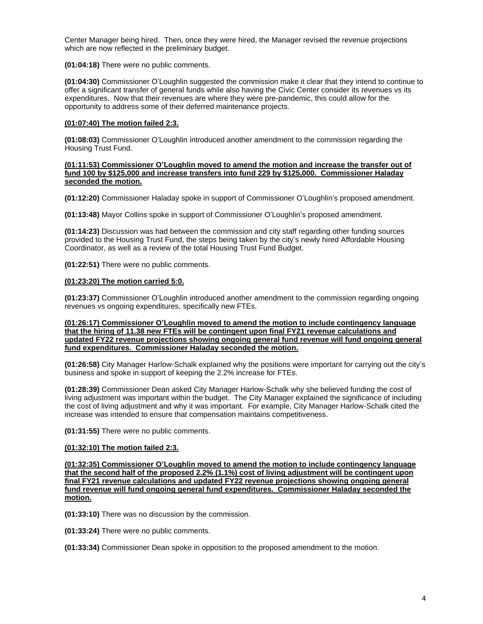Center Manager being hired. Then, once they were hired, the Manager revised the revenue projections which are now reflected in the preliminary budget.

**(01:04:18)** There were no public comments.

**(01:04:30)** Commissioner O'Loughlin suggested the commission make it clear that they intend to continue to offer a significant transfer of general funds while also having the Civic Center consider its revenues vs its expenditures. Now that their revenues are where they were pre-pandemic, this could allow for the opportunity to address some of their deferred maintenance projects.

# **(01:07:40) The motion failed 2:3.**

**(01:08:03)** Commissioner O'Loughlin introduced another amendment to the commission regarding the Housing Trust Fund.

#### **(01:11:53) Commissioner O'Loughlin moved to amend the motion and increase the transfer out of fund 100 by \$125,000 and increase transfers into fund 229 by \$125,000. Commissioner Haladay seconded the motion.**

**(01:12:20)** Commissioner Haladay spoke in support of Commissioner O'Loughlin's proposed amendment.

**(01:13:48)** Mayor Collins spoke in support of Commissioner O'Loughlin's proposed amendment.

**(01:14:23)** Discussion was had between the commission and city staff regarding other funding sources provided to the Housing Trust Fund, the steps being taken by the city's newly hired Affordable Housing Coordinator, as well as a review of the total Housing Trust Fund Budget.

**(01:22:51)** There were no public comments.

# **(01:23:20) The motion carried 5:0.**

**(01:23:37)** Commissioner O'Loughlin introduced another amendment to the commission regarding ongoing revenues vs ongoing expenditures, specifically new FTEs.

#### **(01:26:17) Commissioner O'Loughlin moved to amend the motion to include contingency language that the hiring of 11.38 new FTEs will be contingent upon final FY21 revenue calculations and updated FY22 revenue projections showing ongoing general fund revenue will fund ongoing general fund expenditures. Commissioner Haladay seconded the motion.**

**(01:26:58)** City Manager Harlow-Schalk explained why the positions were important for carrying out the city's business and spoke in support of keeping the 2.2% increase for FTEs.

**(01:28:39)** Commissioner Dean asked City Manager Harlow-Schalk why she believed funding the cost of living adjustment was important within the budget. The City Manager explained the significance of including the cost of living adjustment and why it was important. For example, City Manager Harlow-Schalk cited the increase was intended to ensure that compensation maintains competitiveness.

**(01:31:55)** There were no public comments.

# **(01:32:10) The motion failed 2:3.**

**(01:32:35) Commissioner O'Loughlin moved to amend the motion to include contingency language that the second half of the proposed 2.2% (1.1%) cost of living adjustment will be contingent upon final FY21 revenue calculations and updated FY22 revenue projections showing ongoing general fund revenue will fund ongoing general fund expenditures. Commissioner Haladay seconded the motion.**

**(01:33:10)** There was no discussion by the commission.

**(01:33:24)** There were no public comments.

**(01:33:34)** Commissioner Dean spoke in opposition to the proposed amendment to the motion.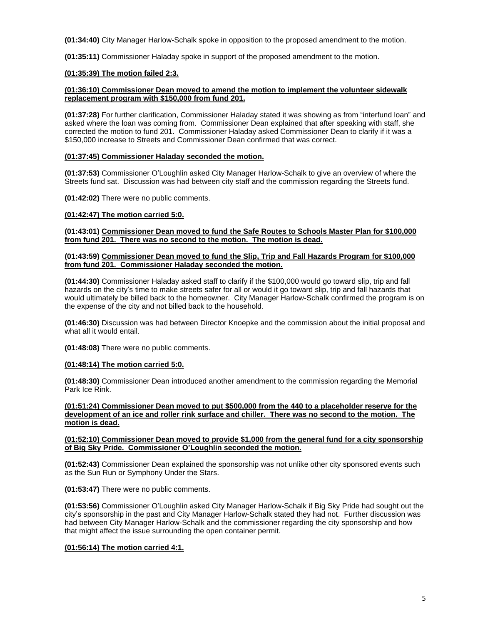**(01:34:40)** City Manager Harlow-Schalk spoke in opposition to the proposed amendment to the motion.

**(01:35:11)** Commissioner Haladay spoke in support of the proposed amendment to the motion.

# **(01:35:39) The motion failed 2:3.**

# **(01:36:10) Commissioner Dean moved to amend the motion to implement the volunteer sidewalk replacement program with \$150,000 from fund 201.**

**(01:37:28)** For further clarification, Commissioner Haladay stated it was showing as from "interfund loan" and asked where the loan was coming from. Commissioner Dean explained that after speaking with staff, she corrected the motion to fund 201. Commissioner Haladay asked Commissioner Dean to clarify if it was a \$150,000 increase to Streets and Commissioner Dean confirmed that was correct.

# **(01:37:45) Commissioner Haladay seconded the motion.**

**(01:37:53)** Commissioner O'Loughlin asked City Manager Harlow-Schalk to give an overview of where the Streets fund sat. Discussion was had between city staff and the commission regarding the Streets fund.

**(01:42:02)** There were no public comments.

# **(01:42:47) The motion carried 5:0.**

**(01:43:01) Commissioner Dean moved to fund the Safe Routes to Schools Master Plan for \$100,000 from fund 201. There was no second to the motion. The motion is dead.**

#### **(01:43:59) Commissioner Dean moved to fund the Slip, Trip and Fall Hazards Program for \$100,000 from fund 201. Commissioner Haladay seconded the motion.**

**(01:44:30)** Commissioner Haladay asked staff to clarify if the \$100,000 would go toward slip, trip and fall hazards on the city's time to make streets safer for all or would it go toward slip, trip and fall hazards that would ultimately be billed back to the homeowner. City Manager Harlow-Schalk confirmed the program is on the expense of the city and not billed back to the household.

**(01:46:30)** Discussion was had between Director Knoepke and the commission about the initial proposal and what all it would entail.

**(01:48:08)** There were no public comments.

# **(01:48:14) The motion carried 5:0.**

**(01:48:30)** Commissioner Dean introduced another amendment to the commission regarding the Memorial Park Ice Rink.

**(01:51:24) Commissioner Dean moved to put \$500,000 from the 440 to a placeholder reserve for the development of an ice and roller rink surface and chiller. There was no second to the motion. The motion is dead.**

# **(01:52:10) Commissioner Dean moved to provide \$1,000 from the general fund for a city sponsorship of Big Sky Pride. Commissioner O'Loughlin seconded the motion.**

**(01:52:43)** Commissioner Dean explained the sponsorship was not unlike other city sponsored events such as the Sun Run or Symphony Under the Stars.

**(01:53:47)** There were no public comments.

**(01:53:56)** Commissioner O'Loughlin asked City Manager Harlow-Schalk if Big Sky Pride had sought out the city's sponsorship in the past and City Manager Harlow-Schalk stated they had not. Further discussion was had between City Manager Harlow-Schalk and the commissioner regarding the city sponsorship and how that might affect the issue surrounding the open container permit.

# **(01:56:14) The motion carried 4:1.**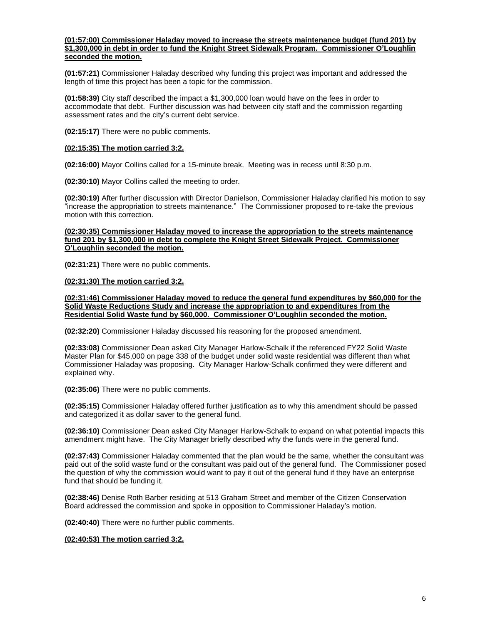# **(01:57:00) Commissioner Haladay moved to increase the streets maintenance budget (fund 201) by \$1,300,000 in debt in order to fund the Knight Street Sidewalk Program. Commissioner O'Loughlin seconded the motion.**

**(01:57:21)** Commissioner Haladay described why funding this project was important and addressed the length of time this project has been a topic for the commission.

**(01:58:39)** City staff described the impact a \$1,300,000 loan would have on the fees in order to accommodate that debt. Further discussion was had between city staff and the commission regarding assessment rates and the city's current debt service.

**(02:15:17)** There were no public comments.

# **(02:15:35) The motion carried 3:2.**

**(02:16:00)** Mayor Collins called for a 15-minute break. Meeting was in recess until 8:30 p.m.

**(02:30:10)** Mayor Collins called the meeting to order.

**(02:30:19)** After further discussion with Director Danielson, Commissioner Haladay clarified his motion to say "increase the appropriation to streets maintenance." The Commissioner proposed to re-take the previous motion with this correction.

# **(02:30:35) Commissioner Haladay moved to increase the appropriation to the streets maintenance fund 201 by \$1,300,000 in debt to complete the Knight Street Sidewalk Project. Commissioner O'Loughlin seconded the motion.**

**(02:31:21)** There were no public comments.

# **(02:31:30) The motion carried 3:2.**

**(02:31:46) Commissioner Haladay moved to reduce the general fund expenditures by \$60,000 for the Solid Waste Reductions Study and increase the appropriation to and expenditures from the Residential Solid Waste fund by \$60,000. Commissioner O'Loughlin seconded the motion.**

**(02:32:20)** Commissioner Haladay discussed his reasoning for the proposed amendment.

**(02:33:08)** Commissioner Dean asked City Manager Harlow-Schalk if the referenced FY22 Solid Waste Master Plan for \$45,000 on page 338 of the budget under solid waste residential was different than what Commissioner Haladay was proposing. City Manager Harlow-Schalk confirmed they were different and explained why.

**(02:35:06)** There were no public comments.

**(02:35:15)** Commissioner Haladay offered further justification as to why this amendment should be passed and categorized it as dollar saver to the general fund.

**(02:36:10)** Commissioner Dean asked City Manager Harlow-Schalk to expand on what potential impacts this amendment might have. The City Manager briefly described why the funds were in the general fund.

**(02:37:43)** Commissioner Haladay commented that the plan would be the same, whether the consultant was paid out of the solid waste fund or the consultant was paid out of the general fund. The Commissioner posed the question of why the commission would want to pay it out of the general fund if they have an enterprise fund that should be funding it.

**(02:38:46)** Denise Roth Barber residing at 513 Graham Street and member of the Citizen Conservation Board addressed the commission and spoke in opposition to Commissioner Haladay's motion.

**(02:40:40)** There were no further public comments.

**(02:40:53) The motion carried 3:2.**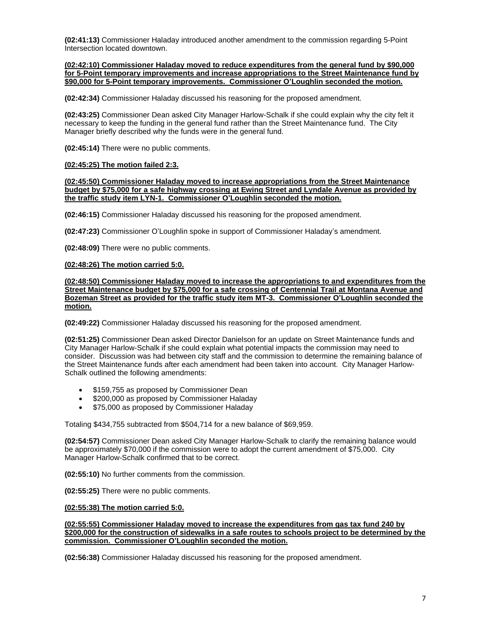**(02:41:13)** Commissioner Haladay introduced another amendment to the commission regarding 5-Point Intersection located downtown.

**(02:42:10) Commissioner Haladay moved to reduce expenditures from the general fund by \$90,000 for 5-Point temporary improvements and increase appropriations to the Street Maintenance fund by \$90,000 for 5-Point temporary improvements. Commissioner O'Loughlin seconded the motion.**

**(02:42:34)** Commissioner Haladay discussed his reasoning for the proposed amendment.

**(02:43:25)** Commissioner Dean asked City Manager Harlow-Schalk if she could explain why the city felt it necessary to keep the funding in the general fund rather than the Street Maintenance fund. The City Manager briefly described why the funds were in the general fund.

**(02:45:14)** There were no public comments.

# **(02:45:25) The motion failed 2:3.**

**(02:45:50) Commissioner Haladay moved to increase appropriations from the Street Maintenance budget by \$75,000 for a safe highway crossing at Ewing Street and Lyndale Avenue as provided by the traffic study item LYN-1. Commissioner O'Loughlin seconded the motion.**

**(02:46:15)** Commissioner Haladay discussed his reasoning for the proposed amendment.

**(02:47:23)** Commissioner O'Loughlin spoke in support of Commissioner Haladay's amendment.

**(02:48:09)** There were no public comments.

#### **(02:48:26) The motion carried 5:0.**

**(02:48:50) Commissioner Haladay moved to increase the appropriations to and expenditures from the Street Maintenance budget by \$75,000 for a safe crossing of Centennial Trail at Montana Avenue and Bozeman Street as provided for the traffic study item MT-3. Commissioner O'Loughlin seconded the motion.**

**(02:49:22)** Commissioner Haladay discussed his reasoning for the proposed amendment.

**(02:51:25)** Commissioner Dean asked Director Danielson for an update on Street Maintenance funds and City Manager Harlow-Schalk if she could explain what potential impacts the commission may need to consider. Discussion was had between city staff and the commission to determine the remaining balance of the Street Maintenance funds after each amendment had been taken into account. City Manager Harlow-Schalk outlined the following amendments:

- \$159,755 as proposed by Commissioner Dean
- \$200,000 as proposed by Commissioner Haladay
- \$75,000 as proposed by Commissioner Haladay

Totaling \$434,755 subtracted from \$504,714 for a new balance of \$69,959.

**(02:54:57)** Commissioner Dean asked City Manager Harlow-Schalk to clarify the remaining balance would be approximately \$70,000 if the commission were to adopt the current amendment of \$75,000. City Manager Harlow-Schalk confirmed that to be correct.

**(02:55:10)** No further comments from the commission.

**(02:55:25)** There were no public comments.

**(02:55:38) The motion carried 5:0.**

**(02:55:55) Commissioner Haladay moved to increase the expenditures from gas tax fund 240 by \$200,000 for the construction of sidewalks in a safe routes to schools project to be determined by the commission. Commissioner O'Loughlin seconded the motion.**

**(02:56:38)** Commissioner Haladay discussed his reasoning for the proposed amendment.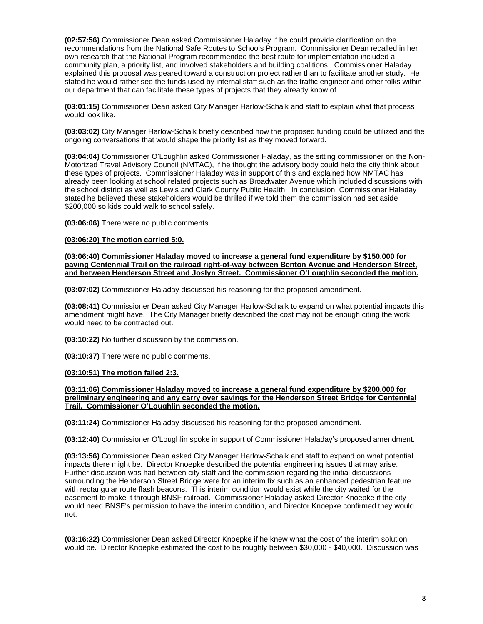**(02:57:56)** Commissioner Dean asked Commissioner Haladay if he could provide clarification on the recommendations from the National Safe Routes to Schools Program. Commissioner Dean recalled in her own research that the National Program recommended the best route for implementation included a community plan, a priority list, and involved stakeholders and building coalitions. Commissioner Haladay explained this proposal was geared toward a construction project rather than to facilitate another study. He stated he would rather see the funds used by internal staff such as the traffic engineer and other folks within our department that can facilitate these types of projects that they already know of.

**(03:01:15)** Commissioner Dean asked City Manager Harlow-Schalk and staff to explain what that process would look like.

**(03:03:02)** City Manager Harlow-Schalk briefly described how the proposed funding could be utilized and the ongoing conversations that would shape the priority list as they moved forward.

**(03:04:04)** Commissioner O'Loughlin asked Commissioner Haladay, as the sitting commissioner on the Non-Motorized Travel Advisory Council (NMTAC), if he thought the advisory body could help the city think about these types of projects. Commissioner Haladay was in support of this and explained how NMTAC has already been looking at school related projects such as Broadwater Avenue which included discussions with the school district as well as Lewis and Clark County Public Health. In conclusion, Commissioner Haladay stated he believed these stakeholders would be thrilled if we told them the commission had set aside \$200,000 so kids could walk to school safely.

**(03:06:06)** There were no public comments.

#### **(03:06:20) The motion carried 5:0.**

**(03:06:40) Commissioner Haladay moved to increase a general fund expenditure by \$150,000 for paving Centennial Trail on the railroad right-of-way between Benton Avenue and Henderson Street, and between Henderson Street and Joslyn Street. Commissioner O'Loughlin seconded the motion.** 

**(03:07:02)** Commissioner Haladay discussed his reasoning for the proposed amendment.

**(03:08:41)** Commissioner Dean asked City Manager Harlow-Schalk to expand on what potential impacts this amendment might have. The City Manager briefly described the cost may not be enough citing the work would need to be contracted out.

**(03:10:22)** No further discussion by the commission.

**(03:10:37)** There were no public comments.

# **(03:10:51) The motion failed 2:3.**

**(03:11:06) Commissioner Haladay moved to increase a general fund expenditure by \$200,000 for preliminary engineering and any carry over savings for the Henderson Street Bridge for Centennial Trail. Commissioner O'Loughlin seconded the motion.** 

**(03:11:24)** Commissioner Haladay discussed his reasoning for the proposed amendment.

**(03:12:40)** Commissioner O'Loughlin spoke in support of Commissioner Haladay's proposed amendment.

**(03:13:56)** Commissioner Dean asked City Manager Harlow-Schalk and staff to expand on what potential impacts there might be. Director Knoepke described the potential engineering issues that may arise. Further discussion was had between city staff and the commission regarding the initial discussions surrounding the Henderson Street Bridge were for an interim fix such as an enhanced pedestrian feature with rectangular route flash beacons. This interim condition would exist while the city waited for the easement to make it through BNSF railroad. Commissioner Haladay asked Director Knoepke if the city would need BNSF's permission to have the interim condition, and Director Knoepke confirmed they would not.

**(03:16:22)** Commissioner Dean asked Director Knoepke if he knew what the cost of the interim solution would be. Director Knoepke estimated the cost to be roughly between \$30,000 - \$40,000. Discussion was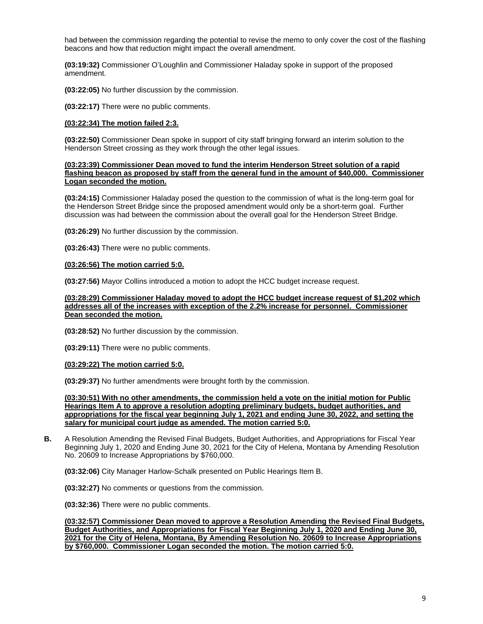had between the commission regarding the potential to revise the memo to only cover the cost of the flashing beacons and how that reduction might impact the overall amendment.

**(03:19:32)** Commissioner O'Loughlin and Commissioner Haladay spoke in support of the proposed amendment.

**(03:22:05)** No further discussion by the commission.

**(03:22:17)** There were no public comments.

# **(03:22:34) The motion failed 2:3.**

**(03:22:50)** Commissioner Dean spoke in support of city staff bringing forward an interim solution to the Henderson Street crossing as they work through the other legal issues.

#### **(03:23:39) Commissioner Dean moved to fund the interim Henderson Street solution of a rapid flashing beacon as proposed by staff from the general fund in the amount of \$40,000. Commissioner Logan seconded the motion.**

**(03:24:15)** Commissioner Haladay posed the question to the commission of what is the long-term goal for the Henderson Street Bridge since the proposed amendment would only be a short-term goal. Further discussion was had between the commission about the overall goal for the Henderson Street Bridge.

**(03:26:29)** No further discussion by the commission.

**(03:26:43)** There were no public comments.

#### **(03:26:56) The motion carried 5:0.**

**(03:27:56)** Mayor Collins introduced a motion to adopt the HCC budget increase request.

### **(03:28:29) Commissioner Haladay moved to adopt the HCC budget increase request of \$1,202 which addresses all of the increases with exception of the 2.2% increase for personnel. Commissioner Dean seconded the motion.**

**(03:28:52)** No further discussion by the commission.

**(03:29:11)** There were no public comments.

# **(03:29:22) The motion carried 5:0.**

**(03:29:37)** No further amendments were brought forth by the commission.

**(03:30:51) With no other amendments, the commission held a vote on the initial motion for Public Hearings Item A to approve a resolution adopting preliminary budgets, budget authorities, and appropriations for the fiscal year beginning July 1, 2021 and ending June 30, 2022, and setting the salary for municipal court judge as amended. The motion carried 5:0.**

**B.** A Resolution Amending the Revised Final Budgets, Budget Authorities, and Appropriations for Fiscal Year Beginning July 1, 2020 and Ending June 30, 2021 for the City of Helena, Montana by Amending Resolution No. 20609 to Increase Appropriations by \$760,000.

**(03:32:06)** City Manager Harlow-Schalk presented on Public Hearings Item B.

**(03:32:27)** No comments or questions from the commission.

**(03:32:36)** There were no public comments.

**(03:32:57) Commissioner Dean moved to approve a Resolution Amending the Revised Final Budgets, Budget Authorities, and Appropriations for Fiscal Year Beginning July 1, 2020 and Ending June 30, 2021 for the City of Helena, Montana, By Amending Resolution No. 20609 to Increase Appropriations by \$760,000. Commissioner Logan seconded the motion. The motion carried 5:0.**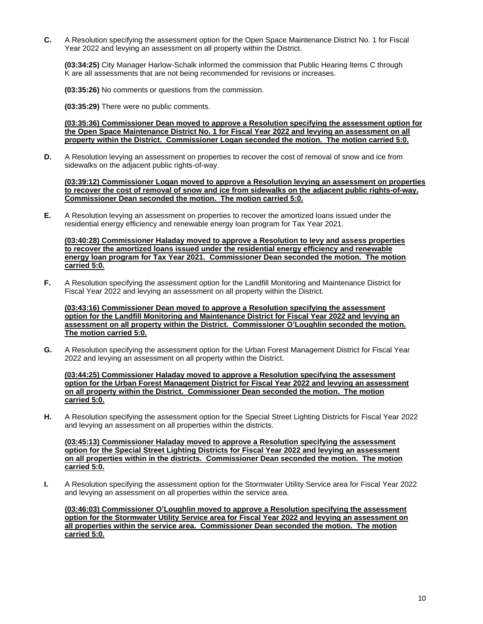**C.** A Resolution specifying the assessment option for the Open Space Maintenance District No. 1 for Fiscal Year 2022 and levying an assessment on all property within the District.

**(03:34:25)** City Manager Harlow-Schalk informed the commission that Public Hearing Items C through K are all assessments that are not being recommended for revisions or increases.

**(03:35:26)** No comments or questions from the commission.

**(03:35:29)** There were no public comments.

**(03:35:36) Commissioner Dean moved to approve a Resolution specifying the assessment option for the Open Space Maintenance District No. 1 for Fiscal Year 2022 and levying an assessment on all property within the District. Commissioner Logan seconded the motion. The motion carried 5:0.**

**D.** A Resolution levying an assessment on properties to recover the cost of removal of snow and ice from sidewalks on the adjacent public rights-of-way.

**(03:39:12) Commissioner Logan moved to approve a Resolution levying an assessment on properties to recover the cost of removal of snow and ice from sidewalks on the adjacent public rights-of-way. Commissioner Dean seconded the motion. The motion carried 5:0.**

**E.** A Resolution levying an assessment on properties to recover the amortized loans issued under the residential energy efficiency and renewable energy loan program for Tax Year 2021.

**(03:40:28) Commissioner Haladay moved to approve a Resolution to levy and assess properties to recover the amortized loans issued under the residential energy efficiency and renewable energy loan program for Tax Year 2021. Commissioner Dean seconded the motion. The motion carried 5:0.**

**F.** A Resolution specifying the assessment option for the Landfill Monitoring and Maintenance District for Fiscal Year 2022 and levying an assessment on all property within the District.

**(03:43:16) Commissioner Dean moved to approve a Resolution specifying the assessment option for the Landfill Monitoring and Maintenance District for Fiscal Year 2022 and levying an assessment on all property within the District. Commissioner O'Loughlin seconded the motion. The motion carried 5:0.**

**G.** A Resolution specifying the assessment option for the Urban Forest Management District for Fiscal Year 2022 and levying an assessment on all property within the District.

**(03:44:25) Commissioner Haladay moved to approve a Resolution specifying the assessment option for the Urban Forest Management District for Fiscal Year 2022 and levying an assessment on all property within the District. Commissioner Dean seconded the motion. The motion carried 5:0.**

**H.** A Resolution specifying the assessment option for the Special Street Lighting Districts for Fiscal Year 2022 and levying an assessment on all properties within the districts.

**(03:45:13) Commissioner Haladay moved to approve a Resolution specifying the assessment option for the Special Street Lighting Districts for Fiscal Year 2022 and levying an assessment on all properties within in the districts. Commissioner Dean seconded the motion. The motion carried 5:0.**

**I.** A Resolution specifying the assessment option for the Stormwater Utility Service area for Fiscal Year 2022 and levying an assessment on all properties within the service area.

**(03:46:03) Commissioner O'Loughlin moved to approve a Resolution specifying the assessment option for the Stormwater Utility Service area for Fiscal Year 2022 and levying an assessment on all properties within the service area. Commissioner Dean seconded the motion. The motion carried 5:0.**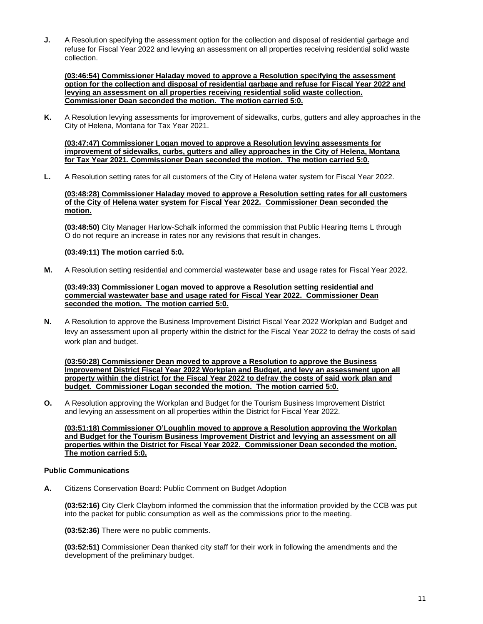**J.** A Resolution specifying the assessment option for the collection and disposal of residential garbage and refuse for Fiscal Year 2022 and levying an assessment on all properties receiving residential solid waste collection.

**(03:46:54) Commissioner Haladay moved to approve a Resolution specifying the assessment option for the collection and disposal of residential garbage and refuse for Fiscal Year 2022 and levying an assessment on all properties receiving residential solid waste collection. Commissioner Dean seconded the motion. The motion carried 5:0.**

**K.** A Resolution levying assessments for improvement of sidewalks, curbs, gutters and alley approaches in the City of Helena, Montana for Tax Year 2021.

**(03:47:47) Commissioner Logan moved to approve a Resolution levying assessments for improvement of sidewalks, curbs, gutters and alley approaches in the City of Helena, Montana for Tax Year 2021. Commissioner Dean seconded the motion. The motion carried 5:0.**

**L.** A Resolution setting rates for all customers of the City of Helena water system for Fiscal Year 2022.

# **(03:48:28) Commissioner Haladay moved to approve a Resolution setting rates for all customers of the City of Helena water system for Fiscal Year 2022. Commissioner Dean seconded the motion.**

**(03:48:50)** City Manager Harlow-Schalk informed the commission that Public Hearing Items L through O do not require an increase in rates nor any revisions that result in changes.

# **(03:49:11) The motion carried 5:0.**

**M.** A Resolution setting residential and commercial wastewater base and usage rates for Fiscal Year 2022.

# **(03:49:33) Commissioner Logan moved to approve a Resolution setting residential and commercial wastewater base and usage rated for Fiscal Year 2022. Commissioner Dean seconded the motion. The motion carried 5:0.**

**N.** A Resolution to approve the Business Improvement District Fiscal Year 2022 Workplan and Budget and levy an assessment upon all property within the district for the Fiscal Year 2022 to defray the costs of said work plan and budget.

**(03:50:28) Commissioner Dean moved to approve a Resolution to approve the Business Improvement District Fiscal Year 2022 Workplan and Budget, and levy an assessment upon all property within the district for the Fiscal Year 2022 to defray the costs of said work plan and budget. Commissioner Logan seconded the motion. The motion carried 5:0.**

**O.** A Resolution approving the Workplan and Budget for the Tourism Business Improvement District and levying an assessment on all properties within the District for Fiscal Year 2022.

**(03:51:18) Commissioner O'Loughlin moved to approve a Resolution approving the Workplan and Budget for the Tourism Business Improvement District and levying an assessment on all properties within the District for Fiscal Year 2022. Commissioner Dean seconded the motion. The motion carried 5:0.**

# **Public Communications**

**A.** Citizens Conservation Board: Public Comment on Budget Adoption

**(03:52:16)** City Clerk Clayborn informed the commission that the information provided by the CCB was put into the packet for public consumption as well as the commissions prior to the meeting.

**(03:52:36)** There were no public comments.

**(03:52:51)** Commissioner Dean thanked city staff for their work in following the amendments and the development of the preliminary budget.